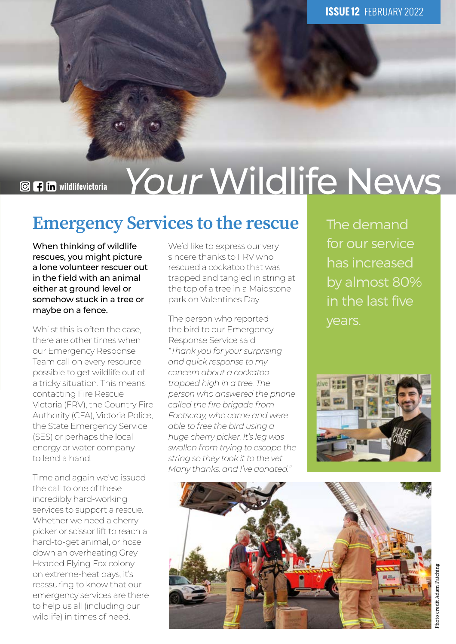**@ 4 in vildlifevictoria** *Your* Wildlife News

#### Emergency Services to the rescue

When thinking of wildlife rescues, you might picture a lone volunteer rescuer out in the field with an animal either at ground level or somehow stuck in a tree or maybe on a fence.

Whilst this is often the case. there are other times when our Emergency Response Team call on every resource possible to get wildlife out of a tricky situation. This means contacting Fire Rescue Victoria (FRV), the Country Fire Authority (CFA), Victoria Police, the State Emergency Service (SES) or perhaps the local energy or water company to lend a hand.

Time and again we've issued the call to one of these incredibly hard-working services to support a rescue. Whether we need a cherry picker or scissor lift to reach a hard-to-get animal, or hose down an overheating Grey Headed Flying Fox colony on extreme-heat days, it's reassuring to know that our emergency services are there to help us all (including our wildlife) in times of need.

We'd like to express our very sincere thanks to FRV who rescued a cockatoo that was trapped and tangled in string at the top of a tree in a Maidstone park on Valentines Day.

The person who reported the bird to our Emergency Response Service said *"Thank you for your surprising and quick response to my concern about a cockatoo trapped high in a tree. The person who answered the phone called the fire brigade from Footscray, who came and were able to free the bird using a huge cherry picker. It's leg was swollen from trying to escape the string so they took it to the vet. Many thanks, and I've donated."* 

The demand for our service has increased by almost 80% in the last five years.



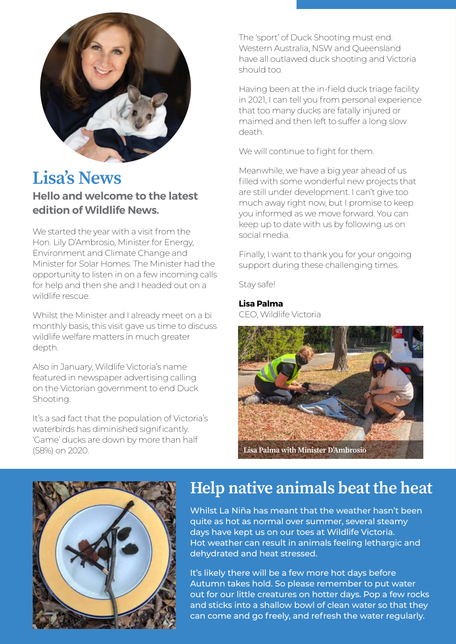

### Lisa's News

#### **Hello and welcome to the latest edition of Wildlife News.**

We started the year with a visit from the Hon. Lily D'Ambrosio, Minister for Energy, Environment and Climate Change and Minister for Solar Homes. The Minister had the opportunity to listen in on a few incoming calls for help and then she and I headed out on a wildlife rescue.

Whilst the Minister and I already meet on a bi monthly basis, this visit gave us time to discuss wildlife welfare matters in much greater depth.

Also in January, Wildlife Victoria's name featured in newspaper advertising calling on the Victorian government to end Duck Shooting.

It's a sad fact that the population of Victoria's waterbirds has diminished significantly. 'Game' ducks are down by more than half (58%) on 2020.

The 'sport' of Duck Shooting must end. Western Australia, NSW and Queensland have all outlawed duck shooting and Victoria should too.

Having been at the in-field duck triage facility in 2021, I can tell you from personal experience that too many ducks are fatally injured or maimed and then left to suffer a long slow death.

We will continue to fight for them.

Meanwhile, we have a big year ahead of us filled with some wonderful new projects that are still under development. I can't give too much away right now, but I promise to keep you informed as we move forward. You can keep up to date with us by following us on social media.

Finally, I want to thank you for your ongoing support during these challenging times.

Stay safe!

#### **Lisa Palma**

CEO, Wildlife Victoria





#### Help native animals beat the heat

Whilst La Niña has meant that the weather hasn't been quite as hot as normal over summer, several steamy days have kept us on our toes at Wildlife Victoria. Hot weather can result in animals feeling lethargic and dehydrated and heat stressed.

It's likely there will be a few more hot days before Autumn takes hold. So please remember to put water out for our little creatures on hotter days. Pop a few rocks and sticks into a shallow bowl of clean water so that they can come and go freely, and refresh the water regularly.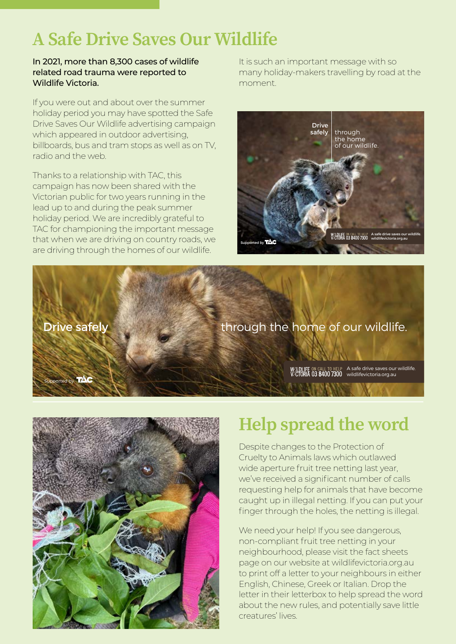### A Safe Drive Saves Our Wildlife

#### In 2021, more than 8,300 cases of wildlife related road trauma were reported to Wildlife Victoria.

If you were out and about over the summer holiday period you may have spotted the Safe Drive Saves Our Wildlife advertising campaign which appeared in outdoor advertising, billboards, bus and tram stops as well as on TV, radio and the web.

Thanks to a relationship with TAC, this campaign has now been shared with the Victorian public for two years running in the lead up to and during the peak summer holiday period. We are incredibly grateful to TAC for championing the important message that when we are driving on country roads, we are driving through the homes of our wildlife.

It is such an important message with so many holiday-makers travelling by road at the moment.



Drive safely through the home of our wildlife.

A safe drive saves our wildlife. wildlifevictoria.org.au



Supported by  $\sqrt{10}$ 

## Help spread the word

Despite changes to the Protection of Cruelty to Animals laws which outlawed wide aperture fruit tree netting last year, we've received a significant number of calls requesting help for animals that have become caught up in illegal netting. If you can put your finger through the holes, the netting is illegal.

We need your help! If you see dangerous, non-compliant fruit tree netting in your neighbourhood, please visit the fact sheets page on our website at wildlifevictoria.org.au to print off a letter to your neighbours in either English, Chinese, Greek or Italian. Drop the letter in their letterbox to help spread the word about the new rules, and potentially save little creatures' lives.